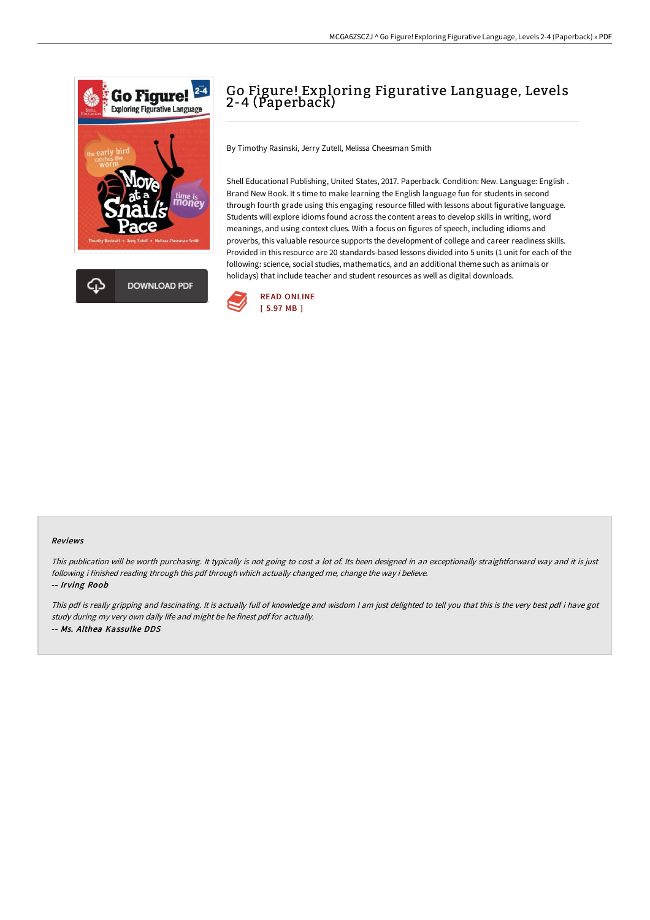



# Go Figure! Exploring Figurative Language, Levels 2-4 (Paperback)

By Timothy Rasinski, Jerry Zutell, Melissa Cheesman Smith

Shell Educational Publishing, United States, 2017. Paperback. Condition: New. Language: English . Brand New Book. It s time to make learning the English language fun for students in second through fourth grade using this engaging resource filled with lessons about figurative language. Students will explore idioms found across the content areas to develop skills in writing, word meanings, and using context clues. With a focus on figures of speech, including idioms and proverbs, this valuable resource supports the development of college and career readiness skills. Provided in this resource are 20 standards-based lessons divided into 5 units (1 unit for each of the following: science, social studies, mathematics, and an additional theme such as animals or holidays) that include teacher and student resources as well as digital downloads.



#### Reviews

This publication will be worth purchasing. It typically is not going to cost <sup>a</sup> lot of. Its been designed in an exceptionally straightforward way and it is just following i finished reading through this pdf through which actually changed me, change the way i believe.

-- Irving Roob

This pdf is really gripping and fascinating. It is actually full of knowledge and wisdom <sup>I</sup> am just delighted to tell you that this is the very best pdf i have got study during my very own daily life and might be he finest pdf for actually. -- Ms. Althea Kassulke DDS